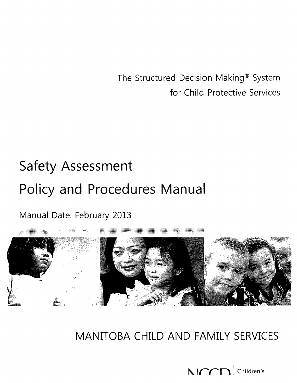The Structured Decision Making® System for Child Protective Services

# **Safety Assessment Policy and Procedures Manual**

Manual Date: February 2013



**MANITOBA CHILD AND FAMILY SERVICES**

t\. *vrr:***n**<sup>I</sup> Children's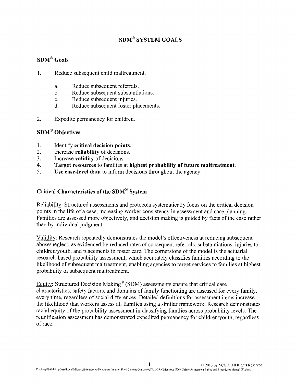# **SDM® SYSTEM GOALS**

# **SDM® Goals**

- 1. Reduce subsequent child maltreatment.
	- a. Reduce subsequent referrals.
	- b. Reduce subsequent substantiations.
	- c. Reduce subsequent injuries.
	- d. Reduce subsequent foster placements.
- 2. Expedite permanency for children.

# **SDM® Objectives**

- 1. Identify **critical decision points.**
- 2. Increase **reliability** of decisions.
- 3. Increase **validity** of decisions.
- 4. **Target resources** to families at **highest probability of future maltreatment.**
- 5. **Use case-level data** to inform decisions throughout the agency.

# **Critical Characteristics of the SDM® System**

Reliability: Structured assessments and protocols systematically focus on the critical decision points in the life of a case, increasing worker consistency in assessment and case planning. Families are assessed more objectively, and decision making is guided by facts of the case rather than by individual judgment.

Validity: Research repeatedly demonstrates the model's effectiveness at reducing subsequent abuse/neglect, as evidenced by reduced rates of subsequent referrals, substantiations, injuries to children/youth, and placements in foster care. The cornerstone of the model is the actuarial research-based probability assessment, which accurately classifies families according to the likelihood of subsequent maltreatment, enabling agencies to target services to families at highest probability of subsequent maltreatment.

Equity: Structured Decision Making" (SDM) assessments ensure that critical case characteristics, safety factors, and domains of family functioning are assessed for every family, every time, regardless of social differences. Detailed definitions for assessment items increase the likelihood that workers assess all families using a similar framework. Research demonstrates racial equity of the probability assessment in classifying families across probability levels. The reunification assessment has demonstrated expedited permanency for children/youth, regardless of race.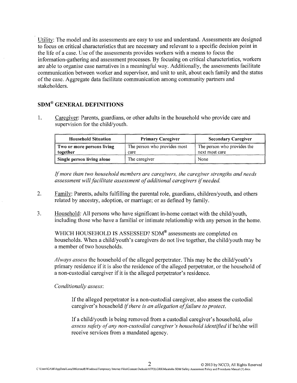Utility: The model and its assessments are easy to use and understand. Assessments are designed to focus on critical characteristics that are necessary and relevant to a specific decision point in the life of a case. Use of the assessments provides workers with a means to focus the information-gathering and assessment processes. By focusing on critical characteristics, workers are able to organise case narratives in a meaningful way. Additionally, the assessments facilitate communication between worker and supervisor, and unit to unit, about each family and the status of the case. Aggregate data facilitate communication among community partners and stakeholders.

# SDM@ GENERAL **DEFINITIONS**

1. Caregiver: Parents, guardians, or other adults in the household who provide care and supervision for the child/youth.

| <b>Household Situation</b>             | <b>Primary Caregiver</b>             | <b>Secondary Caregiver</b>                    |
|----------------------------------------|--------------------------------------|-----------------------------------------------|
| Two or more persons living<br>together | The person who provides most<br>care | The person who provides the<br>next most care |
| Single person living alone             | The caregiver                        | None                                          |

*If more than two household members are caregivers, the caregiver strengths and needs assessment will facilitate assessment of additional caregivers if needed.*

- 2. Family: Parents, adults fulfilling the parental role, guardians, children/youth, and others related by ancestry, adoption, or marriage; or as defined by family.
- 3. Household: All persons who have significant in-home contact with the child/youth, including those who have a familial or intimate relationship with any person in the home.

WHICH HOUSEHOLD IS ASSESSED? SDM® assessments are completed on households. When a child/youth's caregivers do not live together, the child/youth may be a member of two households.

*Always assess* the household of the alleged perpetrator. This may be the child/youth's primary residence if it is also the residence of the alleged perpetrator, or the household of a non-custodial caregiver if it is the alleged perpetrator's residence.

#### *Conditionally assess:*

If the alleged perpetrator is a non-custodial caregiver, also assess the custodial caregiver's household *if there is an allegation of failure to protect.*

If a child/youth is being removed from a custodial caregiver's household, *also assess safety of any non-custodial caregiver's household identified* if he/she will receive services from a mandated agency.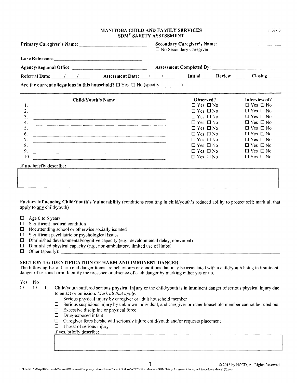#### MANITOBA CHILD AND FAMILY SERVICES SDM® SAFETY ASSESSMENT

|                                                                                                                                                                                                                                            | $\square$ No Secondary Caregiver |                      |  |  |
|--------------------------------------------------------------------------------------------------------------------------------------------------------------------------------------------------------------------------------------------|----------------------------------|----------------------|--|--|
| Case Reference:                                                                                                                                                                                                                            |                                  |                      |  |  |
|                                                                                                                                                                                                                                            |                                  |                      |  |  |
| Referral Date: 1 1 Assessment Date: 1 1 Initial Review Closing                                                                                                                                                                             |                                  |                      |  |  |
| Are the current allegations in this household? $\square$ Yes $\square$ No (specify: $\blacksquare$ )                                                                                                                                       |                                  |                      |  |  |
| <b>Child/Youth's Name</b>                                                                                                                                                                                                                  | Observed?                        | Interviewed?         |  |  |
| 1.                                                                                                                                                                                                                                         | $\Box$ Yes $\Box$ No             | $\Box$ Yes $\Box$ No |  |  |
| 2.<br><u> 1980 - Andrea Samhain, amhraich ann an Caoilleachadh ann an Chuidhean ann an Chuidhean an Chuidhean an Chuidhean an Chuidhean an Chuidhean an Chuidhean an Chuidhean an Chuidhean an Chuidhean an Chuidhean an Chuidhean an </u> | $\Box$ Yes $\Box$ No             | $\Box$ Yes $\Box$ No |  |  |
| 3.                                                                                                                                                                                                                                         | $\Box$ Yes $\Box$ No             | $\Box$ Yes $\Box$ No |  |  |
| 4.                                                                                                                                                                                                                                         | $\Box$ Yes $\Box$ No             | $\Box$ Yes $\Box$ No |  |  |
| 5.                                                                                                                                                                                                                                         | $\Box$ Yes $\Box$ No             | $\Box$ Yes $\Box$ No |  |  |
| 6.                                                                                                                                                                                                                                         | $\Box$ Yes $\Box$ No             | $\Box$ Yes $\Box$ No |  |  |
| 7.<br><u> 1980 - Johann Johann Johann Johann Johann Johann Johann Johann Johann Johann Johann Johann Johann Joh</u>                                                                                                                        | $\Box$ Yes $\Box$ No             | $\Box$ Yes $\Box$ No |  |  |
| 8.                                                                                                                                                                                                                                         | $\Box$ Yes $\Box$ No             | $\Box$ Yes $\Box$ No |  |  |
| 9.                                                                                                                                                                                                                                         | $\Box$ Yes $\Box$ No             | $\Box$ Yes $\Box$ No |  |  |
| 10.                                                                                                                                                                                                                                        | $\Box$ Yes $\Box$ No             | $\Box$ Yes $\Box$ No |  |  |
| If no, briefly describe:                                                                                                                                                                                                                   |                                  |                      |  |  |
|                                                                                                                                                                                                                                            |                                  |                      |  |  |
|                                                                                                                                                                                                                                            |                                  |                      |  |  |
|                                                                                                                                                                                                                                            |                                  |                      |  |  |

Factors Influencing Child/Youth's Vulnerability (conditions resulting in child/youth's reduced ability to protect self; mark all that apply to any child/youth)

- $\Box$  Age 0 to 5 years
- $\Box$  Significant medical condition
- $\Box$  Not attending school or otherwise socially isolated
- $\square$  Significant psychiatric or psychological issues
- $\square$  Diminished developmental/cognitive capacity (e.g., developmental delay, nonverbal)
- $\square$  Diminished physical capacity (e.g., non-ambulatory, limited use of limbs)
- $\Box$  Other (specify):

#### SECTION lA: IDENTIFICATION OF HARM AND IMMINENT DANGER

The following list of harm and danger items are behaviours or conditions that may be associated with a child/youth being in imminent danger of serious harm. Identify the presence or absence of each danger by marking either yes or no.

#### Yes No

- o 0 I. Child/youth suffered serious physical injury or the child/youth is in imminent danger of serious physical injury due to an act or omission. *Mark all that apply.*
	- $\Box$  Serious physical injury by caregiver or adult household member
	- $\square$  Serious suspicious injury by unknown individual, and caregiver or other household member cannot be ruled out  $\square$  Excessive discipline or physical force
	- $\square$  Excessive discipline or physical force<br> $\square$  Drug-exposed infant
	- Drug-exposed infant
	- $\square$  Caregiver fears he/she will seriously injure child/youth and/or requests placement
	- $\Box$  Threat of serious injury
	- If yes, briefly describe:

r: 02-13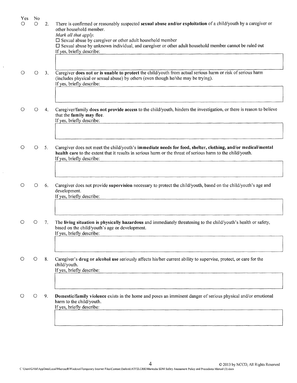| <b>Yes</b><br>Ο | N <sub>o</sub><br>О | 2.             | There is confirmed or reasonably suspected sexual abuse and/or exploitation of a child/youth by a caregiver or<br>other household member.<br>Mark all that apply.<br>$\square$ Sexual abuse by caregiver or other adult household member<br>$\Box$ Sexual abuse by unknown individual, and caregiver or other adult household member cannot be ruled out<br>If yes, briefly describe: |
|-----------------|---------------------|----------------|---------------------------------------------------------------------------------------------------------------------------------------------------------------------------------------------------------------------------------------------------------------------------------------------------------------------------------------------------------------------------------------|
|                 | $\circ$             | 3 <sub>1</sub> | Caregiver does not or is unable to protect the child/youth from actual serious harm or risk of serious harm<br>(includes physical or sexual abuse) by others (even though he/she may be trying).<br>If yes, briefly describe:                                                                                                                                                         |
| O               | O                   | 4.             | Caregiver/family does not provide access to the child/youth, hinders the investigation, or there is reason to believe<br>that the family may flee.<br>If yes, briefly describe:                                                                                                                                                                                                       |
|                 | $\circ$             | 5 <sub>1</sub> | Caregiver does not meet the child/youth's immediate needs for food, shelter, clothing, and/or medical/mental<br>health care to the extent that it results in serious harm or the threat of serious harm to the child/youth.<br>If yes, briefly describe:                                                                                                                              |
| O               | O                   | 6.             | Caregiver does not provide supervision necessary to protect the child/youth, based on the child/youth's age and<br>development.<br>If yes, briefly describe:                                                                                                                                                                                                                          |
|                 | $\circ$             | 7.             | The living situation is physically hazardous and immediately threatening to the child/youth's health or safety,<br>based on the child/youth's age or development.<br>If yes, briefly describe:                                                                                                                                                                                        |
|                 | Ő                   | 8.             | Caregiver's drug or alcohol use seriously affects his/her current ability to supervise, protect, or care for the<br>child/youth.<br>If yes, briefly describe:                                                                                                                                                                                                                         |
|                 | O                   | 9.             | Domestic/family violence exists in the home and poses an imminent danger of serious physical and/or emotional<br>harm to the child/youth.<br>If yes, briefly describe:                                                                                                                                                                                                                |

 $\mathbb{Z}^2$ 

 $\bar{z}$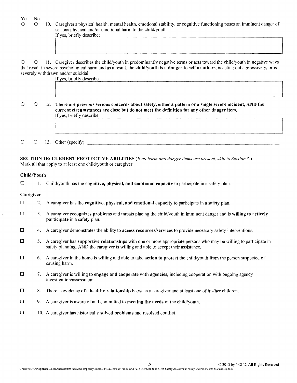| Yes<br>O    | No.<br>O | 10. Caregiver's physical health, mental health, emotional stability, or cognitive functioning poses an imminent danger of<br>serious physical and/or emotional harm to the child/youth.<br>If yes, briefly describe:                                                                                                                      |
|-------------|----------|-------------------------------------------------------------------------------------------------------------------------------------------------------------------------------------------------------------------------------------------------------------------------------------------------------------------------------------------|
| O           | O        | 11. Caregiver describes the child/youth in predominantly negative terms or acts toward the child/youth in negative ways<br>that result in severe psychological harm and as a result, the child/youth is a danger to self or others, is acting out aggressively, or is<br>severely withdrawn and/or suicidal.<br>If yes, briefly describe: |
| $\bigcirc$  | $\circ$  | 12. There are previous serious concerns about safety, either a pattern or a single severe incident, AND the<br>current circumstances are close but do not meet the definition for any other danger item.<br>If yes, briefly describe:                                                                                                     |
| O           | $\circ$  | 13. Other (specify):                                                                                                                                                                                                                                                                                                                      |
|             |          | <b>SECTION 1B: CURRENT PROTECTIVE ABILITIES</b> (If no harm and danger items are present, skip to Section 3.)<br>Mark all that apply to at least one child/youth or caregiver.                                                                                                                                                            |
| Child/Youth |          |                                                                                                                                                                                                                                                                                                                                           |
| □           |          | Child/youth has the cognitive, physical, and emotional capacity to participate in a safety plan.                                                                                                                                                                                                                                          |
| Caregiver   |          |                                                                                                                                                                                                                                                                                                                                           |
| □           | 2.       | A caregiver has the cognitive, physical, and emotional capacity to participate in a safety plan.                                                                                                                                                                                                                                          |
| $\Box$      | 3.       | A caregiver recognizes problems and threats placing the child/youth in imminent danger and is willing to actively<br>participate in a safety plan.                                                                                                                                                                                        |
| $\Box$      | 4.       | A caregiver demonstrates the ability to access resources/services to provide necessary safety interventions.                                                                                                                                                                                                                              |
| $\Box$      | 5.       | A caregiver has supportive relationships with one or more appropriate persons who may be willing to participate in<br>safety planning, AND the caregiver is willing and able to accept their assistance.                                                                                                                                  |
| $\Box$      | 6.       | A caregiver in the home is willing and able to take action to protect the child/youth from the person suspected of<br>causing harm.                                                                                                                                                                                                       |
| $\Box$      | 7.       | A caregiver is willing to <b>engage and cooperate with agencies</b> , including cooperation with ongoing agency<br>investigation/assessment.                                                                                                                                                                                              |
| $\Box$      | 8.       | There is evidence of a healthy relationship between a caregiver and at least one of his/her children.                                                                                                                                                                                                                                     |
| $\Box$      | 9.       | A caregiver is aware of and committed to meeting the needs of the child/youth.                                                                                                                                                                                                                                                            |
| $\Box$      |          | 10. A caregiver has historically solved problems and resolved conflict.                                                                                                                                                                                                                                                                   |

 $\bar{\beta}$ 

 $\frac{1}{\sqrt{2}}$ 

 $\frac{1}{2}$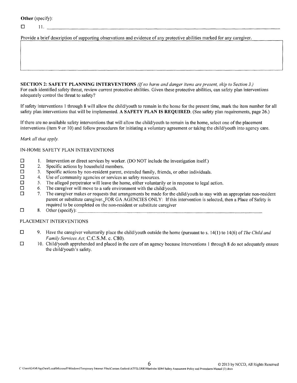**Other** (specify):

 $\Box$  11.

Provide a brief description of supporting observations and evidence of any protective abilities marked for any caregiver.

**SECTION 2: SAFETY PLANNING INTERVENTIONS** *(If no harm and danger items are present, skip to Section 3.)* For each identified safety threat, review current protective abilities. Given these protective abilities, can safety plan interventions adequately control the threat to safety?

If safety interventions I through 8 will allow the child/youth to remain in the home for the present time, mark the item number for all safety plan interventions that will be implemented. A **SAFETY PLAN IS REQUIRED.** (See safety plan requirements, page 26.)

If there are no available safety interventions that will allow the child/youth to remain in the home, select one of the placement interventions (item 9 or 10) and follow procedures for initiating a voluntary agreement or taking the child/youth into agency care.

#### *Mark all that apply.*

#### IN-HOME SAFETY PLAN INTERVENTIONS

- $\Box$  1. Intervention or direct services by worker. (DO NOT include the investigation itself.) <br>2. Specific actions by household members.
- $\square$  2. Specific actions by household members.<br> $\square$  3. Specific actions by non-resident parent.
- $\Box$  3. Specific actions by non-resident parent, extended family, friends, or other individuals.  $\Box$  4. Use of community agencies or services as safety resources.
- $\Box$  4. Use of community agencies or services as safety resources.<br> $\Box$  5. The alleged perpetrator will leave the home, either voluntar
- $\Box$  5. The alleged perpetrator will leave the home, either voluntarily or in response to legal action.<br> $\Box$  6. The caregiver will move to a safe environment with the child/vouth
- $\Box$  6. The caregiver will move to a safe environment with the child/youth.<br> $\Box$  7. The caregiver makes or requests that arrangements be made for the c
- The caregiver makes or requests that arrangements be made for the child/youth to stay with an appropriate non-resident parent or substitute caregiver. FOR GA AGENCIES ONLY: If this intervention is selected, then a Place of Safety is required to be completed on the non-resident or substitute caregiver o 8. Other (specify): \_
- 

#### PLACEMENT INTERVENTIONS

- o 9. Have the caregiver voluntarily place the child/youth outside the home (pursuant to s. 14(1) to 14(6) of *The Child and Family Services Act,* C.C.S.M. c. C80).
- $\Box$  10. Child/youth apprehended and placed in the care of an agency because interventions 1 through 8 do not adequately ensure the child/youth's safety.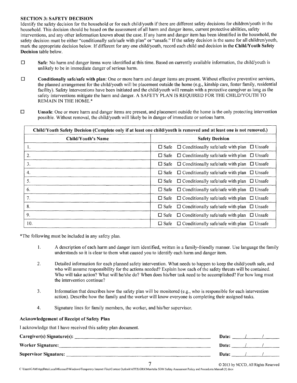#### SECTION 3: SAFETY DECISION

Identify the safety decision for the household or for each child/youth if there are different safety decisions for children/youth in the household. This decision should be based on the assessment of all harm and danger items, current protective abilities, safety interventions, and any other information known about the case. If any harm and danger item has been identified in the household, the safety decision must be either "conditionally safe/safe with plan" or "unsafe." If the safety decision is the same for all children/youth, mark the appropriate decision below. If different for any one child/youth, record each child and decision in the Child/Youth Safety Decision table below.

- $\square$  Safe: No harm and danger items were identified at this time. Based on currently available information, the child/youth is unlikely to be in immediate danger of serious harm.
- $\square$  Conditionally safe/safe with plan: One or more harm and danger items are present. Without effective preventive services, the planned arrangement for the child/youth will be placement outside the home (e.g., kinship care, foster family, residential facility). Safety interventions have been initiated and the child/youth will remain with a protective caregiver as long as the safety interventions mitigate the harm and danger. A SAFETY PLAN IS REQUIRED FOR THE CHILD/YOUTH TO REMAIN IN THE HOME.\*
- $\square$  Unsafe: One or more harm and danger items are present, and placement outside the home is the only protecting intervention possible. Without removal, the child/youth will likely be in danger of immediate or serious harm.

| Child/Youth Safety Decision (Complete only if at least one child/youth is removed and at least one is not removed.) |                                                                          |  |
|---------------------------------------------------------------------------------------------------------------------|--------------------------------------------------------------------------|--|
| <b>Child/Youth's Name</b>                                                                                           | <b>Safety Decision</b>                                                   |  |
| 1.                                                                                                                  | $\Box$ Conditionally safe/safe with plan $\Box$ Unsafe<br>$\square$ Safe |  |
| 2.                                                                                                                  | $\Box$ Conditionally safe/safe with plan<br>$\Box$ Unsafe<br>$\Box$ Safe |  |
| 3.                                                                                                                  | $\Box$ Conditionally safe/safe with plan $\Box$ Unsafe<br>$\Box$ Safe    |  |
| 4.                                                                                                                  | $\Box$ Conditionally safe/safe with plan $\Box$ Unsafe<br>$\Box$ Safe    |  |
| 5.                                                                                                                  | $\Box$ Conditionally safe/safe with plan<br>$\Box$ Safe<br>$\Box$ Unsafe |  |
| 6.                                                                                                                  | $\Box$ Conditionally safe/safe with plan $\Box$ Unsafe<br>$\Box$ Safe    |  |
| 7.                                                                                                                  | $\Box$ Conditionally safe/safe with plan<br>$\Box$ Safe<br>$\Box$ Unsafe |  |
| 8.                                                                                                                  | $\Box$ Conditionally safe/safe with plan $\Box$ Unsafe<br>$\Box$ Safe    |  |
| 9.                                                                                                                  | $\Box$ Conditionally safe/safe with plan $\Box$ Unsafe<br>$\square$ Safe |  |
| 10.                                                                                                                 | $\Box$ Conditionally safe/safe with plan $\Box$ Unsafe<br>$\Box$ Safe    |  |

\*The following must be included in any safety plan.

- I. A description of each harm and danger item identified, written in a family-friendly manner. Use language the family understands so it is clear to them what caused you to identify each harm and danger item.
- 2. Detailed information for each planned safety intervention. What needs to happen to keep the child/youth safe, and who will assume responsibility for the actions needed? Explain how each of the safety threats will be contained. Who will take action? What will he/she do? When does his/her task need to be accomplished? For how long must the intervention continue?
- 3. Information that describes how the safety plan will be monitored (e.g., who is responsible for each intervention action). Describe how the family and the worker will know everyone is completing their assigned tasks.
- 4. Signature lines for family members, the worker, and his/her supervisor.

#### Acknowledgement of Receipt of Safety Plan

I acknowledge that I have received this safety plan document.

| Caregiver(s) Signature(s): | Date: |  |
|----------------------------|-------|--|
| Worker Signature:          | Date: |  |
| Supervisor Signature:      | Date: |  |

7 © <sup>2013</sup> by NCCD, All Rights Reserved

C \Users\GAM\AppData\Local\Microsoft\Windows\Temporary Internet Files\Content Outlook\ATF2LGRK\Manitoba SDM Safety Assessment Policy and Procedures Manual (3) docx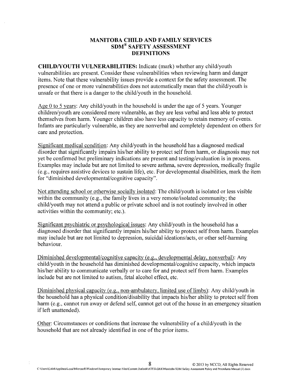#### **MANITOBA CHILD AND FAMILY SERVICES SDM® SAFETY ASSESSMENT DEFINITIONS**

**CHILDNOUTH VULNERABILITIES:** Indicate (mark) whether any child/youth vulnerabilities are present. Consider these vulnerabilities when reviewing harm and danger items. Note that these vulnerability issues provide a context for the safety assessment. The presence of one or more vulnerabilities does not automatically mean that the child/youth is unsafe or that there is a danger to the child/youth in the household.

Age 0 to 5 years: Any child/youth in the household is under the age of 5 years. Younger children/youth are considered more vulnerable, as they are less verbal and less able to protect themselves from harm. Younger children also have less capacity to retain memory of events. Infants are particularly vulnerable, as they are nonverbal and completely dependent on others for care and protection.

Significant medical condition: Any child/youth in the household has a diagnosed medical disorder that significantly impairs his/her ability to protect self from harm, or diagnosis may not yet be confirmed but preliminary indications are present and testing/evaluation is in process. Examples may include but are not limited to severe asthma, severe depression, medically fragile (e.g., requires assistive devices to sustain life), etc. For developmental disabilities, mark the item for "diminished developmental/cognitive capacity".

Not attending school or otherwise socially isolated: The child/youth is isolated or less visible within the community (e.g., the family lives in a very remote/isolated community; the child/youth may not attend a public or private school and is not routinely involved in other activities within the community; etc.).

Significant psychiatric or psychological issues: Any child/youth in the household has a diagnosed disorder that significantly impairs his/her ability to protect self from harm. Examples may include but are not limited to depression, suicidal ideations/acts, or other self-harming behaviour.

Diminished developmental/cognitive capacity (e.g., developmental delay, nonverbal): Any child/youth in the household has diminished developmental/cognitive capacity, which impacts his/her ability to communicate verbally or to care for and protect self from harm. Examples include but are not limited to autism, fetal alcohol effect, etc.

Diminished physical capacity (e.g., non-ambulatory, limited use of limbs): Any child/youth in the household has a physical condition/disability that impacts his/her ability to protect self from harm (e.g., cannot run away or defend self, cannot get out of the house in an emergency situation if left unattended).

Other: Circumstances or conditions that increase the vulnerability of a child/youth in the household that are not already identified in one of the prior items.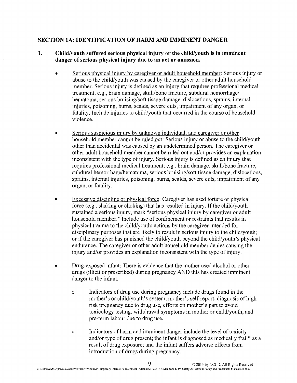# **SECTION lA: IDENTIFICATION OF HARM AND IMMINENT DANGER**

## **1. Child/youth suffered serious physical injury or the child/youth is in imminent danger of serious physical injury due to an act or omission.**

- Serious physical injury by caregiver or adult household member: Serious injury or abuse to the child/youth was caused by the caregiver or other adult household member. Serious injury is defined as an injury that requires professional medical treatment; e.g., brain damage, skull/bone fracture, subdural hemorrhage/ hematoma, serious bruising/soft tissue damage, dislocations, sprains, internal injuries, poisoning, bums, scalds, severe cuts, impairment of any organ, or fatality. Include injuries to child/youth that occurred in the course of household violence.
- Serious suspicious injury by unknown individual, and caregiver or other household member cannot be ruled out: Serious injury or abuse to the child/youth other than accidental was caused by an undetermined person. The caregiver or other adult household member cannot be ruled out and/or provides an explanation inconsistent with the type of injury. Serious injury is defined as an injury that requires professional medical treatment; e.g., brain damage, skull/bone fracture, subdural hemorrhage/hematoma, serious bruising/soft tissue damage, dislocations, sprains, internal injuries, poisoning, bums, scalds, severe cuts, impairment of any organ, or fatality.
- Excessive discipline or physical force: Caregiver has used torture or physical force (e.g., shaking or choking) that has resulted in injury. If the child/youth sustained a serious injury, mark "serious physical injury by caregiver or adult household member." Include use of confinement or restraints that results in physical trauma to the child/youth; actions by the caregiver intended for disciplinary purposes that are likely to result in serious injury to the child/youth; or if the caregiver has punished the child/youth beyond the child/youth's physical endurance. The caregiver or other adult household member denies causing the injury and/or provides an explanation inconsistent with the type of injury.
- Drug-exposed infant: There is evidence that the mother used alcohol or other drugs (illicit or prescribed) during pregnancy AND this has created imminent danger to the infant.
	- » Indicators of drug use during pregnancy include drugs found in the mother's or child/youth's system, mother's self-report, diagnosis of highrisk pregnancy due to drug use, efforts on mother's part to avoid toxicology testing, withdrawal symptoms in mother or child/youth, and pre-term labour due to drug use.
	- » Indicators of harm and imminent danger include the level of toxicity and/or type of drug present; the infant is diagnosed as medically frail\* as a result of drug exposure; and the infant suffers adverse effects from introduction of drugs during pregnancy.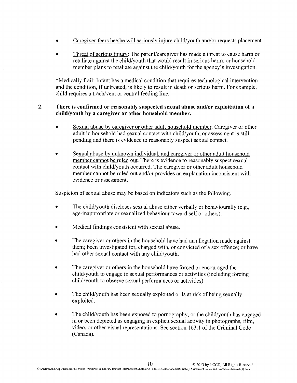- Caregiver fears he/she will seriously injure child/youth and/or requests placement.
- Threat of serious injury: The parent/caregiver has made a threat to cause harm or retaliate against the child/youth that would result in serious harm, or household member plans to retaliate against the child/youth for the agency's investigation.

\*Medically frail: Infant has a medical condition that requires technological intervention and the condition, if untreated, is likely to result in death or serious harm. For example, child requires a trach/vent or central feeding line.

#### **2. There is confirmed or reasonably suspected sexual abuse and/or exploitation of a child/youth by a caregiver or other household member.**

- Sexual abuse by caregiver or other adult household member. Caregiver or other adult in household had sexual contact with child/youth, or assessment is still pending and there is evidence to reasonably suspect sexual contact.
- Sexual abuse by unknown individual, and caregiver or other adult household member cannot be ruled out. There is evidence to reasonably suspect sexual contact with child/youth occurred. The caregiver or other adult household member cannot be ruled out and/or provides an explanation inconsistent with evidence or assessment.

Suspicion of sexual abuse may be based on indicators such as the following.

- The child/youth discloses sexual abuse either verbally or behaviourally (e.g., age-inappropriate or sexualized behaviour toward self or others).
- Medical findings consistent with sexual abuse.
- The caregiver or others in the household have had an allegation made against them; been investigated for, charged with, or convicted of a sex offence; or have had other sexual contact with any child/youth.
- The caregiver or others in the household have forced or encouraged the child/youth to engage in sexual performances or activities (including forcing child/youth to observe sexual performances or activities).
- The child/youth has been sexually exploited or is at risk of being sexually exploited.
- The child/youth has been exposed to pornography, or the child/youth has engaged in or been depicted as engaging in explicit sexual activity in photographs, film, video, or other visual representations. See section 163.1 of the Criminal Code (Canada).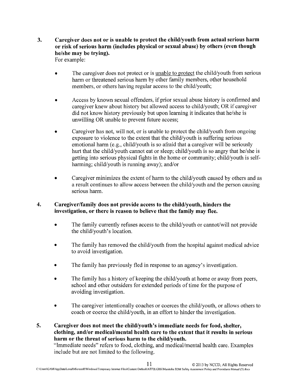**3. Caregiver does not or is unable to protect the child/youth from actual serious harm or risk of serious harm (includes physical or sexual abuse) by others (even though he/she may be trying).**

For example:

- The caregiver does not protect or is unable to protect the child/youth from serious harm or threatened serious harm by other family members, other household members, or others having regular access to the child/youth;
- Access by known sexual offenders, if prior sexual abuse history is confirmed and caregiver knew about history but allowed access to child/youth; OR if caregiver did not know history previously but upon learning it indicates that he/she is unwilling OR unable to prevent future access;
- Caregiver has not, will not, or is unable to protect the child/youth from ongoing exposure to violence to the extent that the child/youth is suffering serious emotional harm (e.g., child/youth is so afraid that a caregiver will be seriously hurt that the child/youth cannot eat or sleep; child/youth is so angry that he/she is getting into serious physical fights in the home or community; child/youth is selfharming; child/youth is running away); and/or
- Caregiver minimizes the extent of harm to the child/youth caused by others and as a result continues to allow access between the child/youth and the person causing serious harm.

## **4. Caregiver/family does not provide access to the child/youth, hinders the investigation, or there is reason to believe that the family may flee.**

- The family currently refuses access to the child/youth or cannot/will not provide the child/youth's location.
- The family has removed the child/youth from the hospital against medical advice to avoid investigation.
- The family has previously fled in response to an agency's investigation.
- The family has a history of keeping the child/youth at home or away from peers, school and other outsiders for extended periods of time for the purpose of avoiding investigation.
- The caregiver intentionally coaches or coerces the child/youth, or allows others to coach or coerce the child/youth, in an effort to hinder the investigation.

**5. Caregiver does not meet the child/youth's immediate needs for food, shelter, clothing, and/or medical/mental health care to the extent that it results in serious harm or the threat of serious harm to the child/youth.**

"Immediate needs" refers to food, clothing, and medical/mental health care. Examples include but are not limited to the following.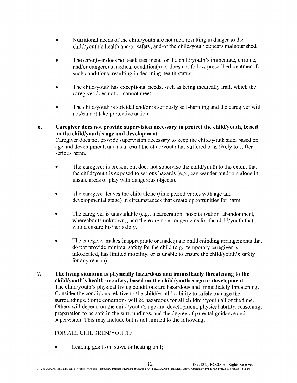- Nutritional needs of the child/youth are not met, resulting in danger to the child/youth's health and/or safety, and/or the child/youth appears malnourished.
- The caregiver does not seek treatment for the child/youth's immediate, chronic, and/or dangerous medical condition(s) or does not follow prescribed treatment for such conditions, resulting in declining health status.
- The child/youth has exceptional needs, such as being medically frail, which the caregiver does not or cannot meet.
- The child/youth is suicidal and/or is seriously self-harming and the caregiver will not/cannot take protective action.
- **6. Caregiver does not provide supervision necessary to protect the child/youth, based on the child/youth's age and development.** Caregiver does not provide supervision necessary to keep the child/youth safe, based on

age and development, and as a result the child/youth has suffered or is likely to suffer serious harm.

- The caregiver is present but does not supervise the child/youth to the extent that the child/youth is exposed to serious hazards (e.g., can wander outdoors alone in unsafe areas or play with dangerous objects).
- The caregiver leaves the child alone (time period varies with age and developmental stage) in circumstances that create opportunities for harm.
- The caregiver is unavailable (e.g., incarceration, hospitalization, abandonment, whereabouts unknown), and there are no arrangements for the child/youth that would ensure his/her safety.
- The caregiver makes inappropriate or inadequate child-minding arrangements that do not provide minimal safety for the child (e.g., temporary caregiver is intoxicated, has limited mobility, or is unable to ensure the child/youth's safety for any reason).
- **7. The living situation is physically hazardous and immediately threatening to the child/youth's health or safety, based on the child/youth's age or development.** The child/youth's physical living conditions are hazardous and immediately threatening. Consider the conditions relative to the child/youth's ability to safely manage the surroundings. Some conditions will be hazardous for all children/youth all of the time. Others will depend on the child/youth's age and development, physical ability, reasoning, preparation to be safe in the surroundings, and the degree of parental guidance and supervision. This may include but is not limited to the following.

# FOR ALL CHILDREN/YOUTH:

Leaking gas from stove or heating unit;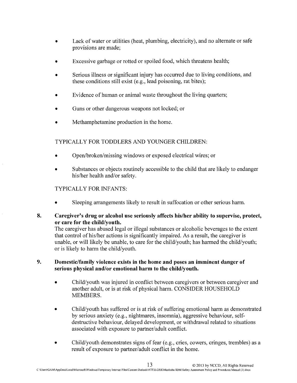- Lack of water or utilities (heat, plumbing, electricity), and no alternate or safe provisions are made;
- Excessive garbage or rotted or spoiled food, which threatens health;
- Serious illness or significant injury has occurred due to living conditions, and these conditions still exist (e.g., lead poisoning, rat bites);
- Evidence of human or animal waste throughout the living quarters;
- Guns or other dangerous weapons not locked; or
- Methamphetamine production in the home.

# TYPICALLY FOR TODDLERS AND YOUNGER CHILDREN:

- Open/broken/missing windows or exposed electrical wires; or
- Substances or objects routinely accessible to the child that are likely to endanger his/her health and/or safety.

# TYPICALLY FOR INFANTS:

- Sleeping arrangements likely to result in suffocation or other serious harm.
- **8. Caregiver's drug or alcohol use seriously affects his/her ability to supervise, protect, or care for the child/youth.**

The caregiver has abused legal or illegal substances or alcoholic beverages to the extent that control of his/her actions is significantly impaired. As a result, the caregiver is unable, or will likely be unable, to care for the child/youth; has harmed the child/youth; or is likely to harm the child/youth.

#### **9. Domestic/family violence exists in the home and poses an imminent danger of serious physical and/or emotional harm to the child/youth.**

- Child/youth was injured in conflict between caregivers or between caregiver and another adult, or is at risk of physical harm. CONSIDER HOUSEHOLD MEMBERS.
- Child/youth has suffered or is at risk of suffering emotional harm as demonstrated by serious anxiety (e.g., nightmares, insomnia), aggressive behaviour, selfdestructive behaviour, delayed development, or withdrawal related to situations associated with exposure to partner/adult conflict.
- Child/youth demonstrates signs of fear (e.g., cries, cowers, cringes, trembles) as a result of exposure to partner/adult conflict in the home.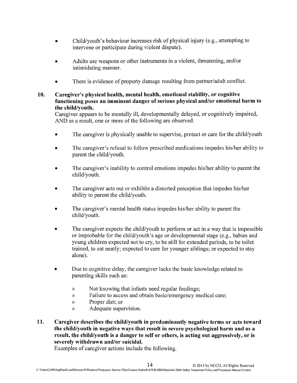- Child/youth's behaviour increases risk of physical injury (e.g., attempting to intervene or participate during violent dispute).
- Adults use weapons or other instruments in a violent, threatening, and/or intimidating manner.
- There is evidence of property damage resulting from partner/adult conflict.
- 10. Caregiver's physical health, mental health, emotional stability, or cognitive functioning poses an imminent danger of serious physical and/or emotional harm to the child/youth.

Caregiver appears to be mentally ill, developmentally delayed, or cognitively impaired, AND as a result, one or more of the following are observed.

- The caregiver is physically unable to supervise, protect or care for the child/youth
- The caregiver's refusal to follow prescribed medications impedes his/her ability to parent the child/youth.
- The caregiver's inability to control emotions impedes his/her ability to parent the child/youth.
- The caregiver acts out or exhibits a distorted perception that impedes his/her ability to parent the child/youth.
- The caregiver's mental health status impedes his/her ability to parent the child/youth.
- The caregiver expects the child/youth to perform or act in a way that is impossible or improbable for the child/youth's age or developmental stage (e.g., babies and young children expected not to cry, to be still for extended periods, to be toilet trained, to eat neatly; expected to care for younger siblings; or expected to stay alone).
- Due to cognitive delay, the caregiver lacks the basic knowledge related to parenting skills such as:
	- » Not knowing that infants need regular feedings;
	- » Failure to access and obtain basic/emergency medical care;
	- » Proper diet; or
	- » Adequate supervision.
- 11. Caregiver describes the child/youth in predominantly negative terms or acts toward the child/youth in negative ways that result in severe psychological harm and as a result, the child/youth is a danger to self or others, is acting out aggressively, or is severely withdrawn and/or suicidal.

Examples of caregiver actions include the following.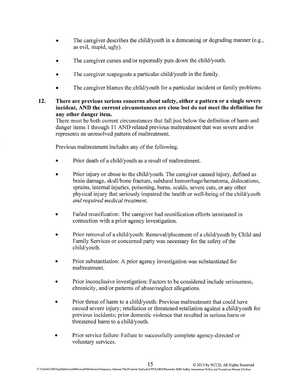- The caregiver describes the child/youth in a demeaning or degrading manner (e.g., as evil, stupid, ugly).
- The caregiver curses and/or repeatedly puts down the child/youth.
- The caregiver scapegoats a particular child/youth in the family.
- The caregiver blames the child/youth for a particular incident or family problems.
- **12. There are previous serious concerns about safety, either a pattern or a single severe incident, AND the current circumstances are close but do not meet the definition for any other danger item.**

There must be both current circumstances that fall just below the definition of harm and danger items 1 through 11 AND related previous maltreatment that was severe and/or represents an unresolved pattern of maltreatment.

Previous maltreatment includes any of the following.

- Prior death of a child/youth as a result of maltreatment.
- Prior injury or abuse to the child/youth. The caregiver caused injury, defined as brain damage, skull/bone fracture, subdural hemorrhage/hematoma, dislocations, sprains, internal injuries, poisoning, burns, scalds, severe cuts, or any other physical injury that seriously impaired the health or well-being of the child/youth *and required medical treatment.*
- Failed reunification: The caregiver had reunification efforts terminated in connection with a prior agency investigation.
- Prior removal of a child/youth: Removal/placement of a child/youth by Child and Family Services or concerned party was necessary for the safety of the child/youth.
- Prior substantiation: A prior agency investigation was substantiated for maltreatment.
- Prior inconclusive investigation: Factors to be considered include seriousness, chronicity, and/or patterns of abuse/neglect allegations.
- Prior threat of harm to a child/youth: Previous maltreatment that could have caused severe injury; retaliation or threatened retaliation against a child/youth for previous incidents; prior domestic violence that resulted in serious harm or threatened harm to a child/youth.
- Prior service failure: Failure to successfully complete agency-directed or voluntary services.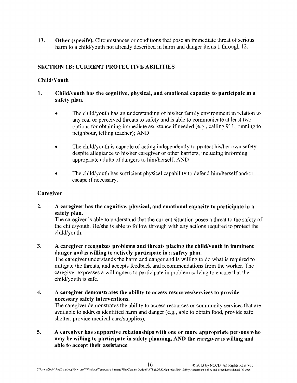**13. Other (specify).** Circumstances or conditions that pose an immediate threat of serious harm to a child/youth not already described in harm and danger items 1 through 12.

# **SECTION IB: CURRENT PROTECTIVE ABILITIES**

#### **ChildNouth**

#### **1. Child/youth has the cognitive, physical, and emotional capacity to participate in a safety plan.**

- The child/youth has an understanding of his/her family environment in relation to any real or perceived threats to safety and is able to communicate at least two options for obtaining immediate assistance if needed (e.g., calling 911, running to neighbour, telling teacher); AND
- The child/youth is capable of acting independently to protect his/her own safety despite allegiance to his/her caregiver or other barriers, including informing appropriate adults of dangers to him/herself; AND
- The child/youth has sufficient physical capability to defend him/herself and/or escape if necessary.

#### **Caregiver**

**2. A caregiver has the cognitive, physical, and emotional capacity to participate in a safety plan.**

The caregiver is able to understand that the current situation poses a threat to the safety of the child/youth. He/she is able to follow through with any actions required to protect the child/youth.

**3. A caregiver recognizes problems and threats placing the child/youth in imminent danger and is willing to actively participate in a safety plan.**

The caregiver understands the harm and danger and is willing to do what is required to mitigate the threats, and accepts feedback and recommendations from the worker. The caregiver expresses a willingness to participate in problem solving to ensure that the child/youth is safe.

**4. A caregiver demonstrates the ability to access resources/services to provide necessary safety interventions.**

The caregiver demonstrates the ability to access resources or community services that are available to address identified harm and danger (e.g., able to obtain food, provide safe shelter, provide medical care/supplies).

**5. A caregiver has supportive relationships with one or more appropriate persons who may be willing to participate in safety planning, AND the caregiver is willing and able to accept their assistance.**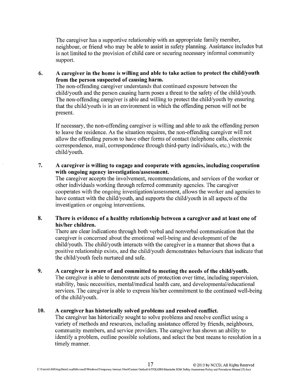The caregiver has a supportive relationship with an appropriate family member, neighbour, or friend who may be able to assist in safety planning. Assistance includes but is not limited to the provision of child care or securing necessary informal community support.

**6. A caregiver in the home is willing and able to take action to protect the child/youth from the person suspected of causing harm.**

The non-offending caregiver understands that continued exposure between the child/youth and the person causing harm poses a threat to the safety of the child/youth. The non-offending caregiver is able and willing to protect the child/youth by ensuring that the child/youth is in an environment in which the offending person will not be present.

If necessary, the non-offending caregiver is willing and able to ask the offending person to leave the residence. As the situation requires, the non-offending caregiver will not allow the offending person to have other forms of contact (telephone calls, electronic correspondence, mail, correspondence through third-party individuals, etc.) with the child/youth.

**7. A caregiver is willing to engage and cooperate with agencies, including cooperation with ongoing agency investigation/assessment.**

The caregiver accepts the involvement, recommendations, and services of the worker or other individuals working through referred community agencies. The caregiver cooperates with the ongoing investigation/assessment, allows the worker and agencies to have contact with the child/youth, and supports the child/youth in all aspects of the investigation or ongoing interventions.

**8. There is evidence of a healthy relationship between a caregiver and at least one of his/her children.**

There are clear indications through both verbal and nonverbal communication that the caregiver is concerned about the emotional well-being and development of the child/youth. The child/youth interacts with the caregiver in a manner that shows that a positive relationship exists, and the child/youth demonstrates behaviours that indicate that the child/youth feels nurtured and safe.

**9. A caregiver is aware of and committed to meeting the needs of the child/youth.**

The caregiver is able to demonstrate acts of protection over time, including supervision, stability, basic necessities, mental/medical health care, and developmental/educational services. The caregiver is able to express his/her commitment to the continued well-being of the child/youth.

#### **10. A caregiver has historically solved problems and resolved conflict.**

The caregiver has historically sought to solve problems and resolve conflict using a variety of methods and resources, including assistance offered by friends, neighbours, community members, and service providers. The caregiver has shown an ability to identify a problem, outline possible solutions, and select the best means to resolution in a timely manner.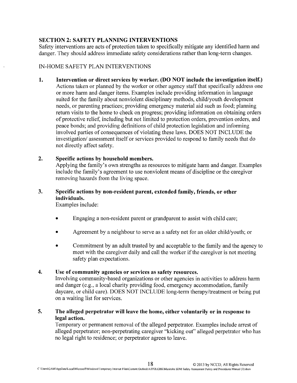## SECTION 2: SAFETY PLANNING INTERVENTIONS

Safety interventions are acts of protection taken to specifically mitigate any identified harm and danger. They should address immediate safety considerations rather than long-term changes.

## IN-HOME SAFETY PLAN INTERVENTIONS

1. Intervention or direct services by worker. (DO NOT include the investigation itself.) Actions taken or planned by the worker or other agency staff that specifically address one or more harm and danger items. Examples include providing information in language suited for the family about nonviolent disciplinary methods, child/youth development needs, or parenting practices; providing emergency material aid such as food; planning return visits to the horne to check on progress; providing information on obtaining orders of protective relief, including but not limited to protection orders, prevention orders, and peace bonds; and providing definitions of child protection legislation and informing involved parties of consequences of violating these laws. DOES NOT INCLUDE the investigation/ assessment itself or services provided to respond to family needs that do not directly affect safety.

## 2. Specific actions by household members.

Applying the family's own strengths as resources to mitigate harm and danger. Examples include the family's agreement to use nonviolent means of discipline or the caregiver removing hazards from the living space.

# 3. Specific actions by non-resident parent, extended family, friends, or other individuals.

Examples include:

- Engaging a non-resident parent or grandparent to assist with child care;
- Agreement by a neighbour to serve as a safety net for an older child/youth; or
- Commitment by an adult trusted by and acceptable to the family and the agency to meet with the caregiver daily and call the worker if the caregiver is not meeting safety plan expectations.

## 4. Use of community agencies or services as safety resources.

Involving community-based organizations or other agencies in activities to address harm and danger (e.g., a local charity providing food, emergency accommodation, family daycare, or child care). DOES NOT INCLUDE long-term therapy/treatment or being put on a waiting list for services.

## 5. The alleged perpetrator will leave the home, either voluntarily or in response to legal action.

Temporary or permanent removal of the alleged perpetrator. Examples include arrest of alleged perpetrator; non-perpetrating caregiver "kicking out" alleged perpetrator who has no legal right to residence; or perpetrator agrees to leave.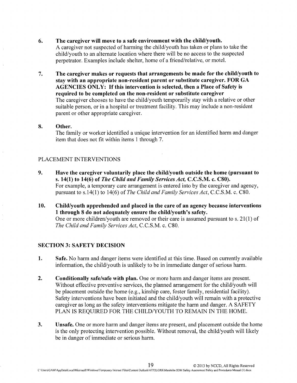6. The caregiver will move to a safe environment with the child/youth.

A caregiver not suspected of harming the child/youth has taken or plans to take the child/youth to an alternate location where there will be no access to the suspected perpetrator. Examples include shelter, home of a friend/relative, or motel.

7. The caregiver makes or requests that arrangements be made for the child/youth to stay with an appropriate non-resident parent or substitute caregiver. FOR GA AGENCIES ONLY: If this intervention is selected, then a Place of Safety is required to be completed on the non-resident or substitute caregiver The caregiver chooses to have the child/youth temporarily stay with a relative or other suitable person, or in a hospital or treatment facility. This may include a non-resident parent or other appropriate caregiver.

#### 8. Other.

The family or worker identified a unique intervention for an identified harm and danger item that does not fit within items 1 through 7.

#### PLACEMENT INTERVENTIONS

- 9. Have the caregiver voluntarily place the child/youth outside the home (pursuant to s. 14(1) to 14(6) of *The Child and Family Services Act,* C.C.S.M. c. C80). For example, a temporary care arrangement is entered into by the caregiver and agency, pursuant to s.14(1) to 14(6) of *The Child and Family Services Act,* C.C.S.M. c. C80.
- 10. Child/youth apprehended and placed in the care of an agency because interventions 1 through 8 do not adequately ensure the child/youth's safety. One or more children/youth are removed or their care is assumed pursuant to s. 21(1) of *The Child and Family Services Act,* C.C.S.M. c. C80.

## SECTION 3: SAFETY DECISION

- 1. Safe. No harm and danger items were identified at this time. Based on currently available information, the child/youth is unlikely to be in immediate danger of serious harm.
- 2. Conditionally safe/safe with plan. One or more harm and danger items are present. Without effective preventive services, the planned arrangement for the child/youth will be placement outside the home (e.g., kinship care, foster family, residential facility). Safety interventions have been initiated and the child/youth will remain with a protective caregiver as long as the safety interventions mitigate the harm and danger. A SAFETY PLAN IS REQUIRED FOR THE CHILD/YOUTH TO REMAIN IN THE HOME.
- 3. Unsafe. One or more harm and danger items are present, and placement outside the home is the only protecting intervention possible. Without removal, the child/youth will likely be in danger of immediate or serious harm.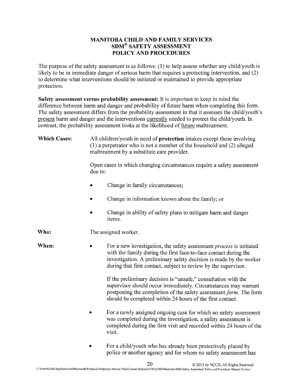## MANITOBA CHILD AND FAMILY SERVICES SDM®SAFETY ASSESSMENT POLICY AND PROCEDURES

The purpose of the safety assessment is as follows: (1) to help assess whether any child/youth is likely to be in immediate danger of serious harm that requires a protecting intervention, and (2) to determine what interventions should be initiated or maintained to provide appropriate protection.

Safety assessment versus probability assessment: It is important to keep in mind the difference between harm and danger and probability of future harm when completing this form. The safety assessment differs from the probability assessment in that it assesses the child/youth's present harm and danger and the interventions currently needed to protect the child/youth. In contrast, the probability assessment looks at the likelihood of future maltreatment.

| <b>Which Cases:</b> | All children/youth in need of <b>protection</b> intakes except those involving<br>$(1)$ a perpetrator who is not a member of the household and $(2)$ alleged<br>maltreatment by a substitute care provider.                                                                                          |  |  |
|---------------------|------------------------------------------------------------------------------------------------------------------------------------------------------------------------------------------------------------------------------------------------------------------------------------------------------|--|--|
|                     | Open cases in which changing circumstances require a safety assessment<br>due to:                                                                                                                                                                                                                    |  |  |
|                     | Change in family circumstances;                                                                                                                                                                                                                                                                      |  |  |
|                     | Change in information known about the family; or                                                                                                                                                                                                                                                     |  |  |
|                     | Change in ability of safety plans to mitigate harm and danger<br>items.                                                                                                                                                                                                                              |  |  |
| Who:                | The assigned worker.                                                                                                                                                                                                                                                                                 |  |  |
| When:               | For a new investigation, the safety assessment <i>process</i> is initiated<br>$\bullet$<br>with the family during the first face-to-face contact during the<br>investigation. A preliminary safety decision is made by the worker<br>during that first contact, subject to review by the supervisor. |  |  |
|                     | If the preliminary decision is "unsafe," consultation with the<br>supervisor should occur immediately. Circumstances may warrant<br>postponing the completion of the safety assessment form. The form<br>should be completed within 24 hours of the first contact.                                   |  |  |
|                     | For a newly assigned ongoing case for which no safety assessment<br>$\bullet$<br>was completed during the investigation, a safety assessment is<br>completed during the first visit and recorded within 24 hours of the<br>visit.                                                                    |  |  |
|                     | For a child/youth who has already been protectively placed by<br>police or another agency and for whom no safety assessment has                                                                                                                                                                      |  |  |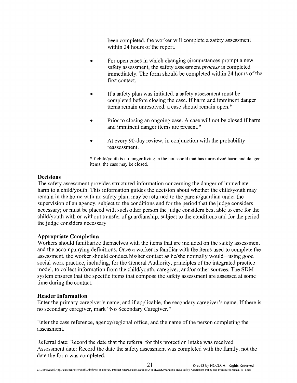been completed, the worker will complete a safety assessment within 24 hours of the report.

- For open cases in which changing circumstances prompt a new safety assessment, the safety assessment *process* is completed immediately. The form should be completed within 24 hours of the first contact.
- If a safety plan was initiated, a safety assessment must be completed before closing the case. If harm and imminent danger items remain unresolved, a case should remain open. \*
- Prior to closing an ongoing case. A case will not be closed if harm and imminent danger items are present. \*
- At every 90-day review, in conjunction with the probability reassessment.

\*I[ child/youth is no longer living in the household that has unresolved harm and danger items, the case may be closed.

#### **Decisions**

The safety assessment provides structured information concerning the danger of immediate harm to a child/youth. This information guides the decision about whether the child/youth may remain in the home with no safety plan; may be returned to the parent/guardian under the supervision of an agency, subject to the conditions and for the period that the judge considers necessary; or must be placed with such other person the judge considers best able to care for the child/youth with or without transfer of guardianship, subject to the conditions and for the period the judge considers necessary.

#### **Appropriate Completion**

Workers should familiarize themselves with the items that are included on the safety assessment and the accompanying definitions. Once a worker is familiar with the items used to complete the assessment, the worker should conduct his/her contact as he/she normally would-using good social work practice, including, for the General Authority, principles of the integrated practice model, to collect information from the child/youth, caregiver, and/or other sources. The SDM system ensures that the specific items that compose the safety assessment are assessed at some time during the contact.

#### **Header Information**

Enter the primary caregiver's name, and if applicable, the secondary caregiver's name. If there is no secondary caregiver, mark "No Secondary Caregiver."

Enter the case reference, agency/regional office, and the name of the person completing the assessment.

Referral date: Record the date that the referral for this protection intake was received. Assessment date: Record the date the safety assessment was completed with the family, not the date the form was completed.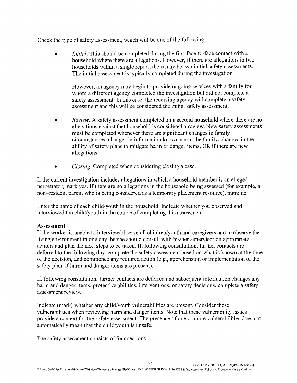Check the type of safety assessment, which will be one of the following.

• *Initial*. This should be completed during the first face-to-face contact with a household where there are allegations. However, if there are allegations in two households within a single report, there may be two initial safety assessments. The initial assessment is typically completed during the investigation.

However, an agency may begin to provide ongoing services with a family for whom a different agency completed the investigation but did not complete a safety assessment. In this case, the receiving agency will complete a safety assessment and this will be considered the initial safety assessment.

- *• Review.* A safety assessment completed on a second household where there are no allegations against that household is considered a review. New safety assessments must be completed whenever there are significant changes in family circumstances, changes in information known about the family, changes in the ability of safety plans to mitigate harm or danger items, OR if there are new allegations.
- *• Closing.* Completed when considering closing a case.

If the current investigation includes allegations in which a household member is an alleged perpetrator, mark yes. If there are no allegations in the household being assessed (for example, a non-resident parent who is being considered as a temporary placement resource), mark no.

Enter the name of each child/youth in the household. Indicate whether you observed and interviewed the child/youth in the course of completing this assessment.

## **Assessment**

If the worker is unable to interview/observe all children/youth and caregivers and to observe the living environment in one day, he/she should consult with his/her supervisor on appropriate actions and plan the next steps to be taken. If, following consultation, further contacts are deferred to the following day, complete the safety assessment based on what is known at the time of the decision, and commence any required action (e.g., apprehension or implementation of the safety plan, if harm and danger items are present).

If, following consultation, further contacts are deferred and subsequent information changes any harm and danger items, protective abilities, interventions, or safety decisions, complete a safety assessment review.

Indicate (mark) whether any child/youth vulnerabilities are present. Consider these vulnerabilities when reviewing harm and danger items. Note that these vulnerability issues provide a context for the safety assessment. The presence of one or more vulnerabilities does not automatically mean that the child/youth is unsafe.

The safety assessment consists of four sections.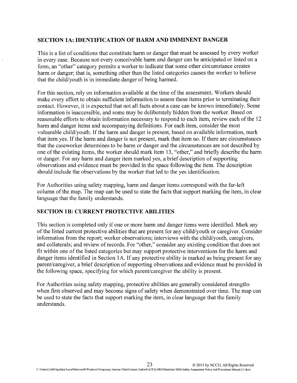#### **SECTION lA: IDENTIFICATION OF HARM AND IMMINENT DANGER**

This is a list of conditions that constitute harm or danger that must be assessed by every worker in every case. Because not every conceivable harm and danger can be anticipated or listed on a form, an "other" category permits a worker to indicate that some other circumstance creates harm or danger; that is, something other than the listed categories causes the worker to believe that the child/youth is in immediate danger of being harmed.

For this section, rely on information available at the time of the assessment. Workers should make every effort to obtain sufficient information to assess these items prior to terminating their contact. However, it is expected that not all facts about a case can be known immediately. Some information is inaccessible, and some may be deliberately hidden from the worker. Based on reasonable efforts to obtain information necessary to respond to each item, review each of the 12 harm and danger items and accompanying definitions. For each item, consider the most vulnerable child/youth. If the harm and danger is present, based on available information, mark that item yes. If the harm and danger is not present, mark that item no. If there are circumstances that the caseworker determines to be harm or danger and the circumstances are not described by one of the existing items, the worker should mark item 13, "other," and briefly describe the harm or danger. For any harm and danger item marked yes, a brief description of supporting observations and evidence must be provided in the space following the item. The description should include the observations by the worker that led to the yes identification.

For Authorities using safety mapping, harm and danger items correspond with the far-left column of the map. The map can be used to state the facts that support marking the item, in clear language that the family understands.

#### **SECTION lB: CURRENT PROTECTIVE ABILITIES**

This section is completed only if one or more harm and danger items were identified. Mark any of the listed current protective abilities that are present for any child/youth or caregiver. Consider information from the report; worker observations; interviews with the child/youth, caregivers, and collaterals; and review of records. For "other," consider any existing condition that does not fit within one of the listed categories but may support protective interventions for the harm and danger items identified in Section 1A. If any protective ability is marked as being present for any parent/caregiver, a brief description of supporting observations and evidence must be provided in the following space, specifying for which parent/caregiver the ability is present.

For Authorities using safety mapping, protective abilities are generally considered strengths when first observed and may become signs of safety when demonstrated over time. The map can be used to state the facts that support marking the item, in clear language that the family understands.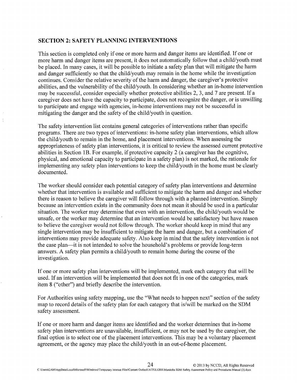#### **SECTION 2: SAFETY PLANNING INTERVENTIONS**

This section is completed only if one or more harm and danger items are identified. If one or more harm and danger items are present, it does not automatically follow that a child/youth must be placed. In many cases, it will be possible to initiate a safety plan that will mitigate the harm and danger sufficiently so that the child/youth may remain in the home while the investigation continues. Consider the relative severity of the harm and danger, the caregiver's protective abilities, and the vulnerability of the child/youth. In considering whether an in-home intervention may be successful, consider especially whether protective abilities 2,3, and 7 are present. If a caregiver does not have the capacity to participate, does not recognize the danger, or is unwilling to participate and engage with agencies, in-home interventions may not be successful in mitigating the danger and the safety of the child/youth in question.

The safety intervention list contains general categories of interventions rather than specific programs. There are two types of interventions: in-home safety plan interventions, which allow the child/youth to remain in the home, and placement interventions. When assessing the appropriateness of safety plan interventions, it is critical to review the assessed current protective abilities in Section lB. For example, if protective capacity 2 (a caregiver has the cognitive, physical, and emotional capacity to participate in a safety plan) is not marked, the rationale for implementing any safety plan interventions to keep the child/youth in the home must be clearly documented.

The worker should consider each potential category of safety plan interventions and determine whether that intervention is available and sufficient to mitigate the harm and danger and whether there is reason to believe the caregiver will follow through with a planned intervention. Simply because an intervention exists in the community does not mean it should be used in a particular situation. The worker may determine that even with an intervention, the child/youth would be unsafe, or the worker may determine that an intervention would be satisfactory but have reason to believe the caregiver would not follow through. The worker should keep in mind that any single intervention may be insufficient to mitigate the harm and danger, but a combination of interventions may provide adequate safety. Also keep in mind that the safety intervention is not the case plan-it is not intended to solve the household's problems or provide long-term answers. A safety plan permits a child/youth to remain home during the course of the investigation.

If one or more safety plan interventions will be implemented, mark each category that will be used. If an intervention will be implemented that does not fit in one of the categories, mark item 8 ("other") and briefly describe the intervention.

For Authorities using safety mapping, use the "What needs to happen next" section of the safety map to record details of the safety plan for each category that is/will be marked on the SDM safety assessment.

If one or more harm and danger items are identified and the worker determines that in-home safety plan interventions are unavailable, insufficient, or may not be used by the caregiver, the final option is to select one of the placement interventions. This may be a voluntary placement agreement, or the agency may place the child/youth in an out-of-home placement.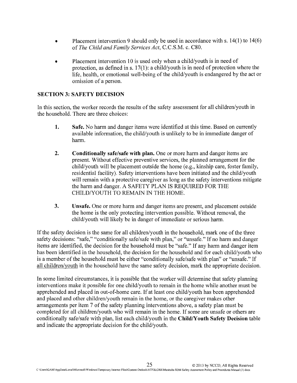- Placement intervention 9 should only be used in accordance with s. 14(1) to 14(6) of *The Child and Family Services Act,* C.C.S.M. c. C80.
- Placement intervention 10 is used only when a child/youth is in need of protection, as defined in s. 17(1): a child/youth is in need of protection where the life, health, or emotional well-being of the child/youth is endangered by the act or omission of a person.

## **SECTION 3: SAFETY DECISION**

In this section, the worker records the results of the safety assessment for all children/youth in the household. There are three choices:

- **1. Safe.** No harm and danger items were identified at this time. Based on currently available information, the child/youth is unlikely to be in immediate danger of harm.
- **2. Conditionally safe/safe with plan.** One or more harm and danger items are present. Without effective preventive services, the planned arrangement for the child/youth will be placement outside the home (e.g., kinship care, foster family, residential facility). Safety interventions have been initiated and the child/youth will remain with a protective caregiver as long as the safety interventions mitigate the harm and danger. A SAFETY PLAN IS REQUIRED FOR THE CHILD/YOUTH TO REMAIN IN THE HOME.
- **3. Unsafe.** One or more harm and danger items are present, and placement outside the home is the only protecting intervention possible. Without removal, the child/youth will likely be in danger of immediate or serious harm.

If the safety decision is the same for all children/youth in the household, mark one of the three safety decisions: "safe," "conditionally safe/safe with plan," or "unsafe." If no harm and danger items are identified, the decision for the household must be "safe." If any harm and danger item has been identified in the household, the decision for the household and for each child/youth who is a member of the household must be either "conditionally safe/safe with plan" or "unsafe." If all children/youth in the household have the same safety decision, mark the appropriate decision.

In some limited circumstances, it is possible that the worker will determine that safety planning interventions make it possible for one child/youth to remain in the home while another must be apprehended and placed in out-of-home care. If at least one child/youth has been apprehended and placed and other children/youth remain in the home, or the caregiver makes other arrangements per item 7 of the safety planning interventions above, a safety plan must be completed for all children/youth who will remain in the home. If some are unsafe or others are conditionally safe/safe with plan, list each child/youth in the **ChildIY outh Safety Decision** table and indicate the appropriate decision for the child/youth.